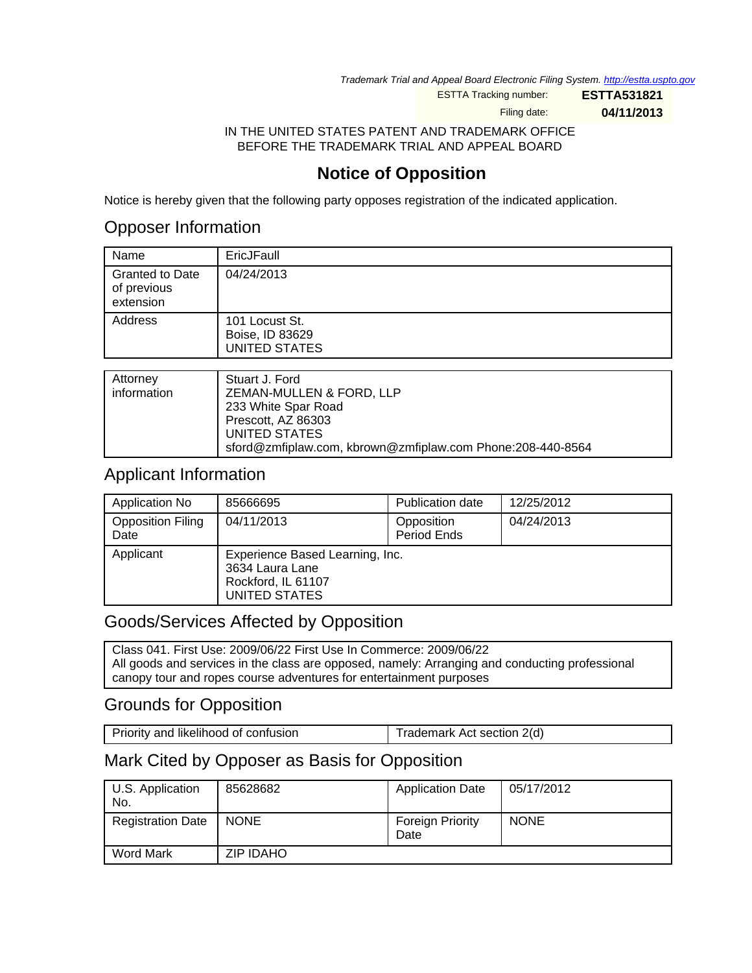Trademark Trial and Appeal Board Electronic Filing System. <http://estta.uspto.gov>

ESTTA Tracking number: **ESTTA531821**

Filing date: **04/11/2013**

### IN THE UNITED STATES PATENT AND TRADEMARK OFFICE BEFORE THE TRADEMARK TRIAL AND APPEAL BOARD

# **Notice of Opposition**

Notice is hereby given that the following party opposes registration of the indicated application.

## Opposer Information

| Name                                               | EricJFaull                                                |
|----------------------------------------------------|-----------------------------------------------------------|
| <b>Granted to Date</b><br>of previous<br>extension | 04/24/2013                                                |
| Address                                            | 101 Locust St.<br>Boise, ID 83629<br><b>UNITED STATES</b> |
|                                                    |                                                           |
| $A$ <sup>44</sup> $\sim$ $\sim$ $\sim$ $\sim$      | $C_{total}$ $C_{total}$                                   |

| Attorney    | Stuart J. Ford                                             |
|-------------|------------------------------------------------------------|
| information | ZEMAN-MULLEN & FORD, LLP                                   |
|             | 233 White Spar Road                                        |
|             | Prescott, AZ 86303                                         |
|             | UNITED STATES                                              |
|             | sford@zmfiplaw.com, kbrown@zmfiplaw.com Phone:208-440-8564 |

## Applicant Information

| Application No                   | 85666695                                                                                  | Publication date          | 12/25/2012 |
|----------------------------------|-------------------------------------------------------------------------------------------|---------------------------|------------|
| <b>Opposition Filing</b><br>Date | 04/11/2013                                                                                | Opposition<br>Period Ends | 04/24/2013 |
| Applicant                        | Experience Based Learning, Inc.<br>3634 Laura Lane<br>Rockford, IL 61107<br>UNITED STATES |                           |            |

## Goods/Services Affected by Opposition

Class 041. First Use: 2009/06/22 First Use In Commerce: 2009/06/22 All goods and services in the class are opposed, namely: Arranging and conducting professional canopy tour and ropes course adventures for entertainment purposes

# Grounds for Opposition

Priority and likelihood of confusion Trademark Act section 2(d)

## Mark Cited by Opposer as Basis for Opposition

| U.S. Application<br>No.  | 85628682         | <b>Application Date</b>         | 05/17/2012  |
|--------------------------|------------------|---------------------------------|-------------|
| <b>Registration Date</b> | <b>NONE</b>      | <b>Foreign Priority</b><br>Date | <b>NONE</b> |
| <b>Word Mark</b>         | <b>ZIP IDAHO</b> |                                 |             |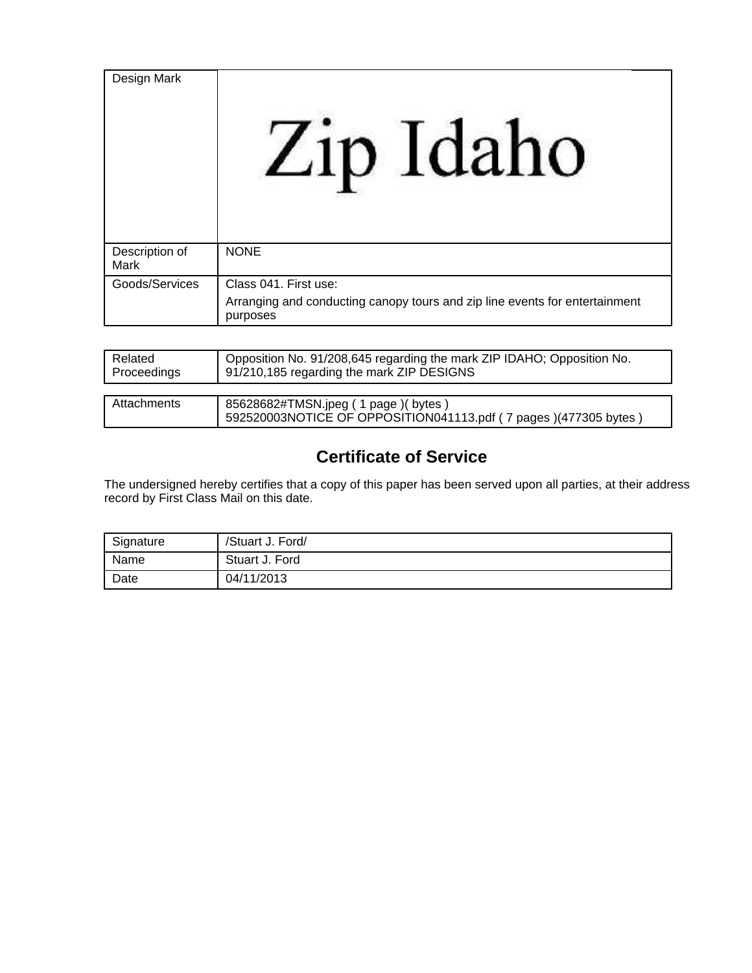| Design Mark            | in Idaho                                                                                                         |
|------------------------|------------------------------------------------------------------------------------------------------------------|
| Description of<br>Mark | <b>NONE</b>                                                                                                      |
| Goods/Services         | Class 041. First use:<br>Arranging and conducting canopy tours and zip line events for entertainment<br>purposes |

| Related<br>Proceedings | Opposition No. 91/208,645 regarding the mark ZIP IDAHO; Opposition No.<br>91/210,185 regarding the mark ZIP DESIGNS |
|------------------------|---------------------------------------------------------------------------------------------------------------------|
|                        |                                                                                                                     |
| Attachments            | 85628682#TMSN.jpeg ( 1 page )( bytes )                                                                              |

# **Certificate of Service**

592520003NOTICE OF OPPOSITION041113.pdf ( 7 pages )(477305 bytes )

The undersigned hereby certifies that a copy of this paper has been served upon all parties, at their address record by First Class Mail on this date.

| Signature | /Stuart J. Ford/ |
|-----------|------------------|
| Name      | Stuart J. Ford   |
| Date      | 04/11/2013       |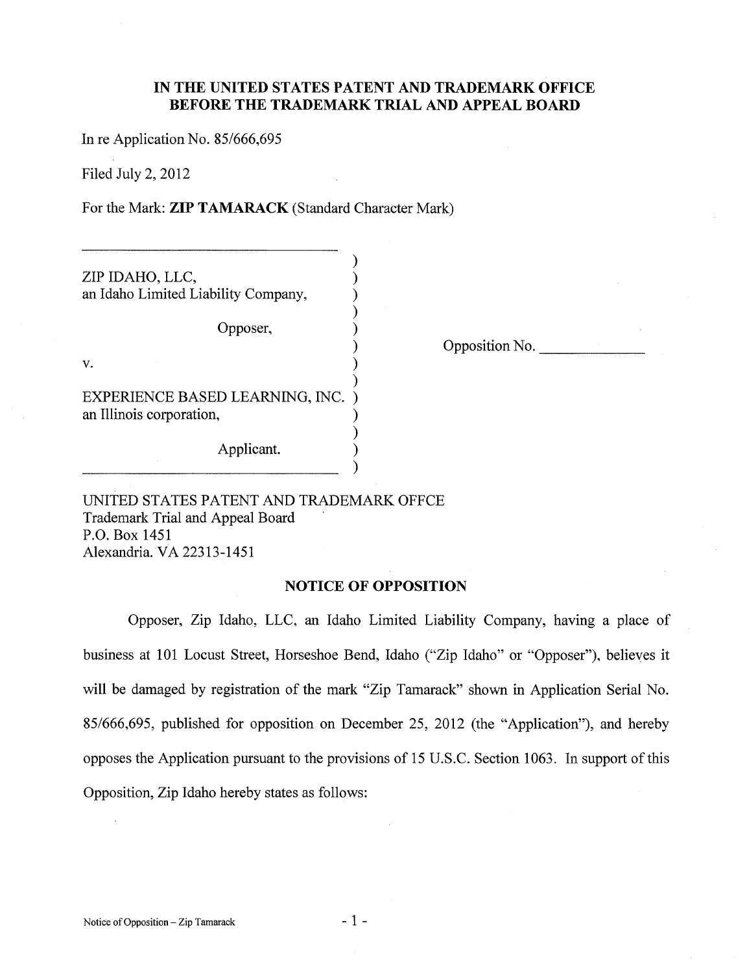### IN THE UNITED STATES PATENT AND TRADEMARK OFFICE **BEFORE THE TRADEMARK TRIAL AND APPEAL BOARD**

In re Application No. 85/666,695

Filed July 2, 2012

For the Mark: ZIP TAMARACK (Standard Character Mark)

| ZIP IDAHO, LLC,                     |  |
|-------------------------------------|--|
| an Idaho Limited Liability Company, |  |
|                                     |  |
| Opposer,                            |  |
|                                     |  |
| v.                                  |  |
|                                     |  |
| EXPERIENCE BASED LEARNING, INC.     |  |
| an Illinois corporation,            |  |
|                                     |  |
| A nnlicant                          |  |

Opposition No.

UNITED STATES PATENT AND TRADEMARK OFFCE Trademark Trial and Appeal Board P.O. Box 1451 Alexandria. VA 22313-1451

#### **NOTICE OF OPPOSITION**

 $\lambda$ 

Opposer, Zip Idaho, LLC, an Idaho Limited Liability Company, having a place of business at 101 Locust Street, Horseshoe Bend, Idaho ("Zip Idaho" or "Opposer"), believes it will be damaged by registration of the mark "Zip Tamarack" shown in Application Serial No. 85/666,695, published for opposition on December 25, 2012 (the "Application"), and hereby opposes the Application pursuant to the provisions of 15 U.S.C. Section 1063. In support of this Opposition, Zip Idaho hereby states as follows: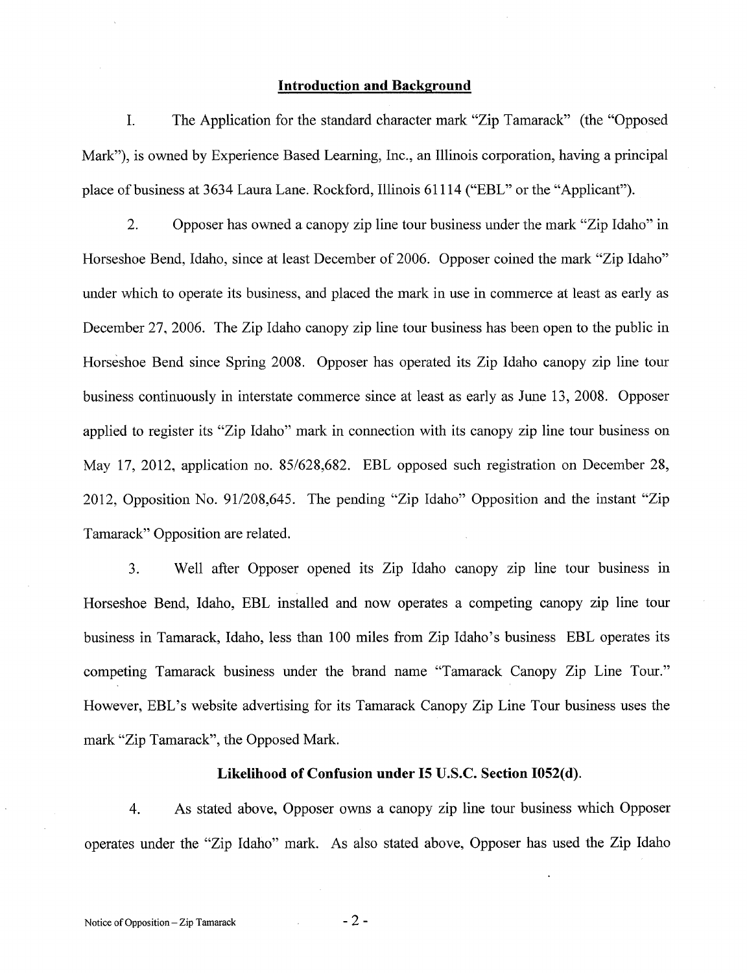#### **Introduction and Background**

 $\mathbf{I}$ . The Application for the standard character mark "Zip Tamarack" (the "Opposed Mark"), is owned by Experience Based Learning, Inc., an Illinois corporation, having a principal place of business at 3634 Laura Lane. Rockford, Illinois 61114 ("EBL" or the "Applicant").

 $\overline{2}$ . Opposer has owned a canopy zip line tour business under the mark "Zip Idaho" in Horseshoe Bend, Idaho, since at least December of 2006. Opposer coined the mark "Zip Idaho" under which to operate its business, and placed the mark in use in commerce at least as early as December 27, 2006. The Zip Idaho can opy zip line tour business has been open to the public in Horseshoe Bend since Spring 2008. Opposer has operated its Zip Idaho canopy zip line tour business continuously in interstate commerce since at least as early as June 13, 2008. Opposer applied to register its "Zip Idaho" mark in connection with its canopy zip line tour business on May 17, 2012, application no. 85/628,682. EBL opposed such registration on December 28, 2012, Opposition No. 91/208,645. The pending "Zip Idaho" Opposition and the instant "Zip Tamarack" Opposition are related.

Well after Opposer opened its Zip Idaho canopy zip line tour business in  $3.$ Horseshoe Bend, Idaho, EBL installed and now operates a competing canopy zip line tour business in Tamarack, Idaho, less than 100 miles from Zip Idaho's business EBL operates its competing Tamarack business under the brand name "Tamarack Canopy Zip Line Tour." However, EBL's website advertising for its Tamarack Canopy Zip Line Tour business uses the mark "Zip Tamarack", the Opposed Mark.

#### Likelihood of Confusion under I5 U.S.C. Section I052(d).

 $4.$ As stated above, Opposer owns a canopy zip line tour business which Opposer operates under the "Zip Idaho" mark. As also stated above, Opposer has used the Zip Idaho

 $-2-$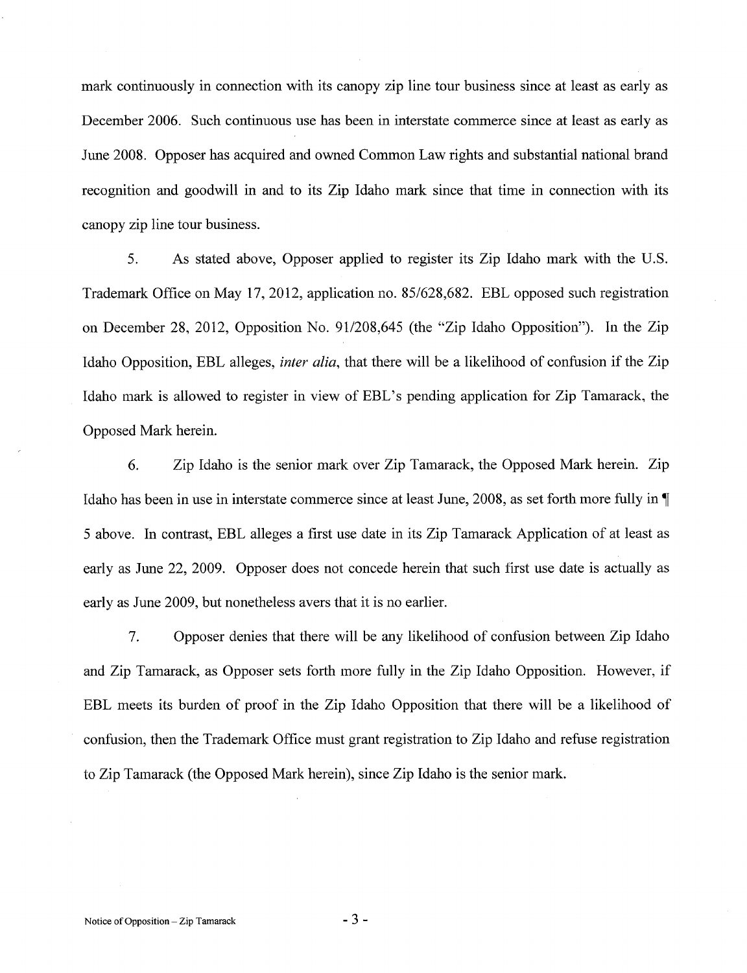mark continuously in connection with its canopy zip line tour business since at least as early as December 2006. Such continuous use has been in interstate commerce since at least as early as June 2008. Opposer has acquired and owned Common Law rights and substantial national brand recognition and goodwill in and to its Zip Idaho mark since that time in connection with its canopy zip line tour business.

5. As stated above, Opposer applied to register its Zip Idaho mark with the U.S. Trademark Office on May 17, 2012, application no. 85/628,682. EBL opposed such registration on December 28, 2012, Opposition No. 91/208,645 (the "Zip Idaho Opposition"). In the Zip Idaho Opposition, EBL alleges, *inter alia*, that there will be a likelihood of confusion if the Zip Idaho mark is allowed to register in view of EBL's pending application for Zip Tamarack, the Opposed Mark herein.

6. Zip Idaho is the senior mark over Zip Tamarack, the Opposed Mark herein. Zip Idaho has been in use in interstate commerce since at least June, 2008, as set forth more fully in 5 above. In contrast, EBL alleges a first use date in its Zip Tamarack Application of at least as early as June 22, 2009. Opposer does not concede herein that such first use date is actually as early as June 2009, but nonetheless avers that it is no earlier.

7. Opposer denies that there will be any likelihood of confusion between Zip Idaho and Zip Tamarack, as Opposer sets forth more fully in the Zip Idaho Opposition. However, if EBL meets its burden of proof in the Zip Idaho Opposition that there will be a likelihood of confusion, then the Trademark Office must grant registration to Zip Idaho and refuse registration to Zip Tamarack (the Opposed Mark herein), since Zip Idaho is the senior mark.

 $-3-$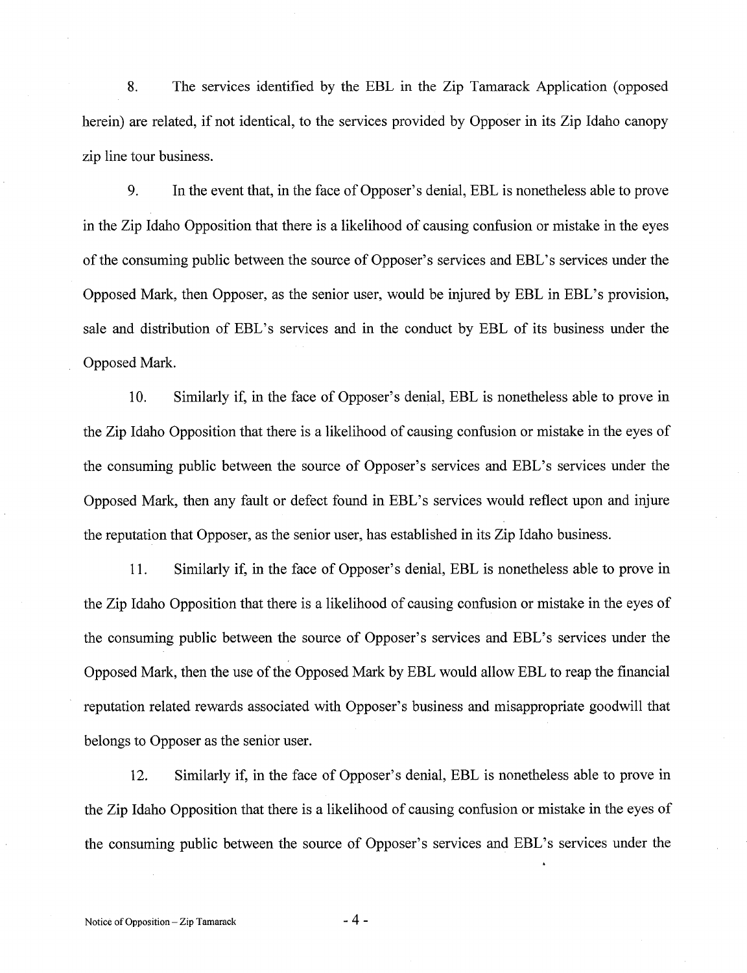8. The services identified by the EBL in the Zip Tamarack Application (opposed herein) are related, if not identical, to the services provided by Opposer in its Zip Idaho canopy zip line tour business.

9. In the event that, in the face of Opposer's denial, EBL is nonetheless able to prove in the Zip Idaho Opposition that there is a likelihood of causing confusion or mistake in the eyes of the consuming public between the source of Opposer's services and EBL's services under the Opposed Mark, then Opposer, as the senior user, would be injured by EBL in EBL's provision, sale and distribution of EBL's services and in the conduct by EBL of its business under the Opposed Mark.

10. Similarly if, in the face of Opposer's denial, EBL is nonetheless able to prove in the Zip Idaho Opposition that there is a likelihood of causing confusion or mistake in the eyes of the consuming public between the source of Opposer's services and EBL's services under the Opposed Mark, then any fault or defect found in EBL's services would reflect upon and injure the reputation that Opposer, as the senior user, has established in its Zip Idaho business.

11. Similarly if, in the face of Opposer's denial, EBL is nonetheless able to prove in the Zip Idaho Opposition that there is a likelihood of causing confusion or mistake in the eyes of the consuming public between the source of Opposer's services and EBL's services under the Opposed Mark, then the use of the Opposed Mark by EBL would allow EBL to reap the financial reputation related rewards associated with Opposer's business and misappropriate goodwill that belongs to Opposer as the senior user.

Similarly if, in the face of Opposer's denial, EBL is nonetheless able to prove in 12. the Zip Idaho Opposition that there is a likelihood of causing confusion or mistake in the eyes of the consuming public between the source of Opposer's services and EBL's services under the

 $-4-$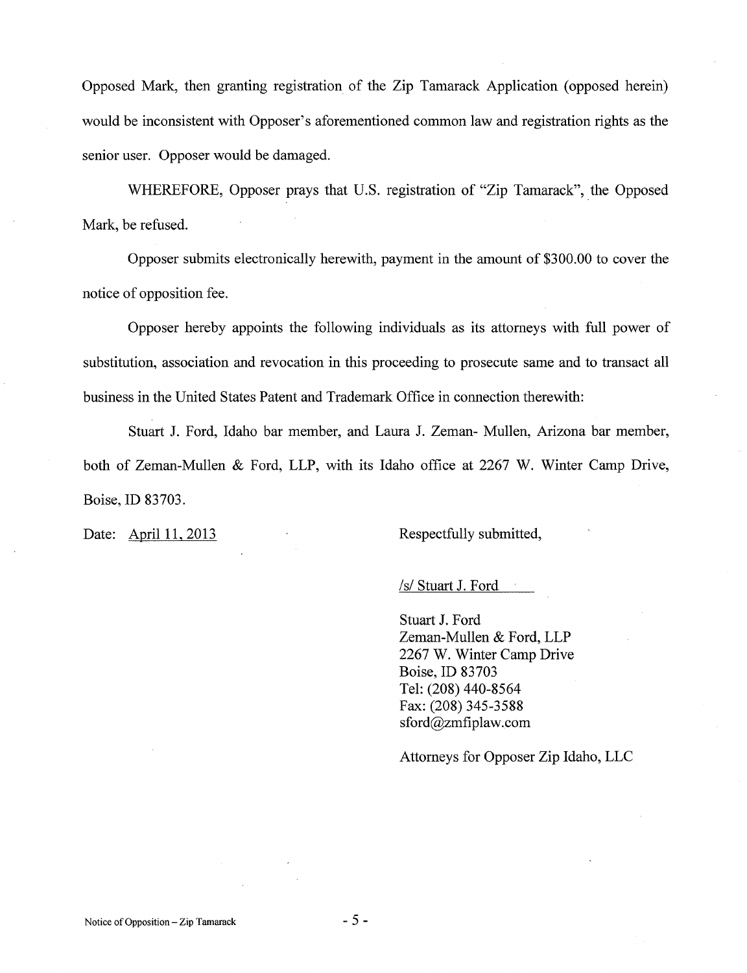Opposed Mark, then granting registration of the Zip Tamarack Application (opposed herein) would be inconsistent with Opposer's aforementioned common law and registration rights as the senior user. Opposer would be damaged.

WHEREFORE, Opposer prays that U.S. registration of "Zip Tamarack", the Opposed Mark, be refused.

Opposer submits electronically herewith, payment in the amount of \$300.00 to cover the notice of opposition fee.

Opposer hereby appoints the following individuals as its attorneys with full power of substitution, association and revocation in this proceeding to prosecute same and to transact all business in the United States Patent and Trademark Office in connection therewith:

Stuart J. Ford, Idaho bar member, and Laura J. Zeman- Mullen, Arizona bar member, both of Zeman-Mullen & Ford, LLP, with its Idaho office at 2267 W. Winter Camp Drive, Boise, ID 83703.

Date: April 11, 2013

Respectfully submitted,

/s/ Stuart J. Ford

Stuart J. Ford Zeman-Mullen & Ford, LLP 2267 W. Winter Camp Drive Boise, ID 83703 Tel: (208) 440-8564 Fax: (208) 345-3588  $sford@zmfiplaw.com$ 

Attorneys for Opposer Zip Idaho, LLC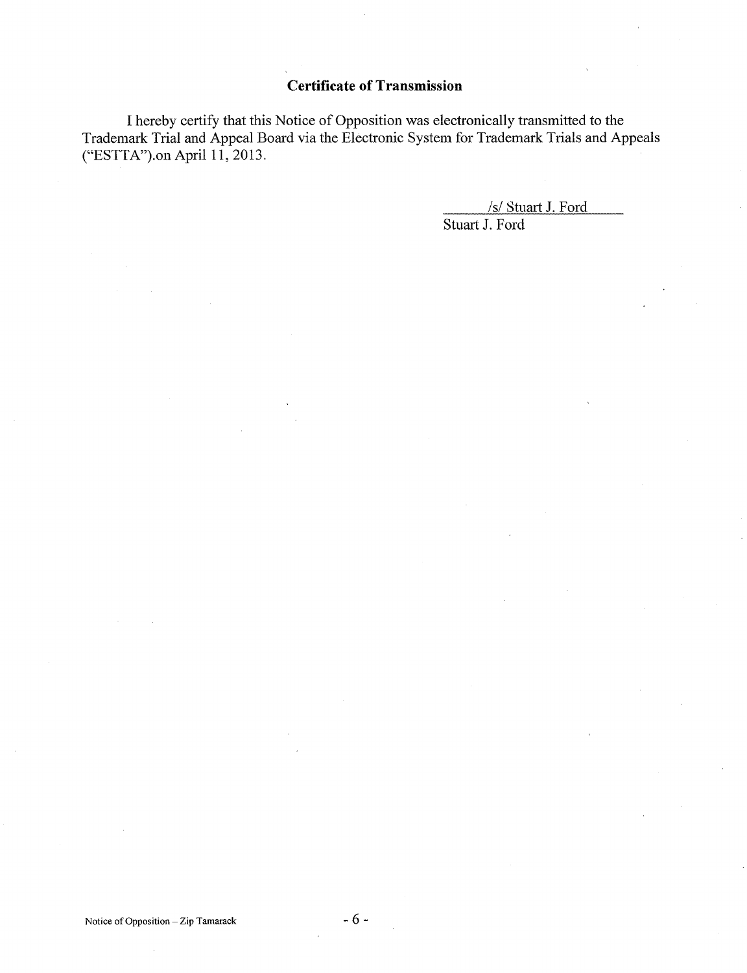## **Certificate of Transmission**

I hereby certify that this Notice of Opposition was electronically transmitted to the Trademark Trial and Appeal Board via the Electronic System for Trademark Trials and Appeals ("ESTTA").on April 11, 2013.

> /s/ Stuart J. Ford Stuart J. Ford